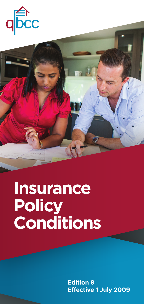



# **Policy Conditions Insurance**

**Effective 1 July 2009 Edition 8**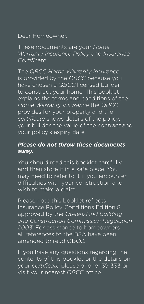### Dear Homeowner,

These documents are your *Home Warranty Insurance Policy* and *Insurance Certificate.*

The *QBCC Home Warranty Insurance* is provided by the *QBCC* because you have chosen a *QBCC* licensed builder to construct your home. This booklet explains the terms and conditions of the *Home Warranty Insurance* the *QBCC* provides for your property and the *certificate* shows details of the policy, your builder, the value of the *contract* and your policy's expiry date.

## *Please do not throw these documents away.*

You should read this booklet carefully and then store it in a safe place. You may need to refer to it if you encounter difficulties with your construction and wish to make a claim.

Please note this booklet reflects Insurance Policy Conditions Edition 8 approved by the *Queensland Building and Construction Commission Regulation 2003.* For assistance to homeowners all references to the BSA have been amended to read QBCC.

If you have any questions regarding the contents of this booklet or the details on your *certificate* please phone 139 333 or visit your nearest *QBCC* office.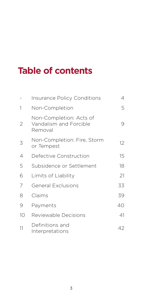# **Table of contents**

|                | <b>Insurance Policy Conditions</b>                           | 4  |
|----------------|--------------------------------------------------------------|----|
| 1              | Non-Completion                                               | 5  |
| $\overline{2}$ | Non-Completion: Acts of<br>Vandalism and Forcible<br>Removal | 9  |
| 3              | Non-Completion: Fire, Storm<br>or Tempest                    | 12 |
| 4              | Defective Construction                                       | 15 |
| 5              | Subsidence or Settlement                                     | 18 |
| 6              | Limits of Liability                                          | 21 |
| 7              | <b>General Exclusions</b>                                    | 33 |
| 8              | Claims                                                       | 39 |
| 9              | Payments                                                     | 40 |
| 10             | Reviewable Decisions                                         | 41 |
| 11             | Definitions and<br>Interpretations                           | 42 |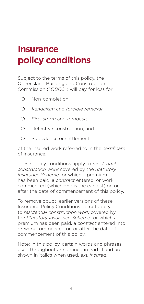# **Insurance policy conditions**

Subject to the terms of this policy, the Queensland Building and Construction Commission ("*QBCC*") will pay for loss for:

- O Non-completion;
- ❍ *Vandalism* and *forcible removal*;
- ❍ *Fire*, *storm* and *tempest*;
- O Defective construction; and
- O Subsidence or settlement

of the insured work referred to in the *certificate* of insurance.

These policy conditions apply to *residential construction work* covered by the *Statutory Insurance Scheme* for which a premium has been paid, a *contract* entered, or work commenced (whichever is the earliest) on or after the date of commencement of this policy.

To remove doubt, earlier versions of these Insurance Policy Conditions do not apply to *residential construction work* covered by the *Statutory Insurance Scheme* for which a premium has been paid, a *contract* entered into or work commenced on or after the date of commencement of this policy.

Note: In this policy, certain words and phrases used throughout are defined in Part 11 and are shown in italics when used, e.g. *Insured*.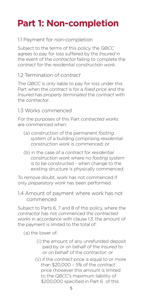# **Part 1: Non-completion**

#### 1.1 Payment for non-completion

Subject to the terms of this policy, the *QBCC* agrees to pay for loss suffered by the *Insured* in the event of the *contractor* failing to complete the *contract* for the *residential construction work*.

#### 1.2 Termination of *contract*

The *QBCC* is only liable to pay for loss under this Part when the *contract* is for a *fixed price* and the *Insured* has *properly terminated* the *contract* with the *contractor*.

#### 1.3 Works commenced

For the purposes of this Part *contracted works* are commenced when:

- (a) construction of the permanent *footing system* of a building comprising *residential construction work* is commenced; or
- (b) in the case of a *contract* for *residential construction work* where no *footing system* is to be constructed - when change to the existing structure is physically commenced.

To remove doubt, work has not commenced if only *preparatory work* has been performed.

1.4 Amount of payment where work has not commenced

Subject to Parts 6, 7 and 8 of this policy, where the *contractor* has not commenced the *contracted works* in accordance with clause 1.3, the amount of the payment is limited to the total of:

(a) the lower of:

- (i) the amount of any unrefunded deposit paid by or on behalf of the *Insured* to or on behalf of the *contractor*; or
- (ii) if the *contract* price is equal to or more than \$20,000 – 5% of the *contract* price (however this amount is limited to the *QBCC*'s maximum liability of \$200,000 specified in Part 6 of this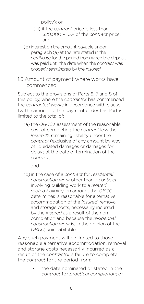policy); or

- (iii) if the *contract* price is less than \$20,000 – 10% of the *contract* price; and
- (b) interest on the amount payable under paragraph (a) at the rate stated in the *certificate* for the period from when the deposit was paid until the date when the *contract* was *properly terminated* by the *Insured*.
- 1.5 Amount of payment where works have commenced

Subject to the provisions of Parts 6, 7 and 8 of this policy, where the *contractor* has commenced the *contracted works* in accordance with clause 1.3, the amount of the payment under this Part is limited to the total of:

(a) the *QBCC*'s assessment of the reasonable cost of completing the *contract* less the *Insured's* remaining liability under the *contract* (exclusive of any amount by way of liquidated damages or damages for delay) at the date of termination of the *contract*;

and

(b) in the case of a *contract* for *residential construction work* other than a *contract*  involving building work to a *related roofed building*, an amount the *QBCC* determines is reasonable for alternative accommodation of the *Insured*, removal and storage costs, necessarily incurred by the *Insured* as a result of the noncompletion and because the *residential construction work* is, in the opinion of the *QBCC*, uninhabitable.

Any such payment will be limited to those reasonable alternative accommodation, removal and storage costs necessarily incurred as a result of the *contractor'*s failure to complete the *contract* for the period from:

> • the date nominated or stated in the *contract* for *practical completion*; or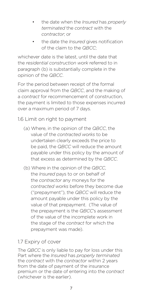- the date when the *Insured* has *properly terminated* the *contract* with the *contractor*; or
- the date the *Insured* gives notification of the claim to the *QBCC*;

whichever date is the latest, until the date that the *residential construction work* referred to in paragraph (b) is substantially complete in the opinion of the *QBCC*.

For the period between receipt of the formal claim approval from the *QBCC*, and the making of a *contract* for recommencement of construction, the payment is limited to those expenses incurred over a maximum period of 7 days.

1.6 Limit on right to payment

- (a) Where, in the opinion of the *QBCC*, the value of the *contracted works* to be undertaken clearly exceeds the price to be paid, the *QBCC* will reduce the amount payable under this policy by the amount of that excess as determined by the *QBCC*.
- (b) Where in the opinion of the *QBCC*, the *Insured* pays to or on behalf of the *contractor* any moneys for the *contracted works* before they become due ("prepayment"), the *QBCC* will reduce the amount payable under this policy by the value of that prepayment. (The value of the prepayment is the *QBCC*'s assessment of the value of the incomplete work in the stage of the *contract* for which the prepayment was made).

### 1.7 Expiry of cover

The *QBCC* is only liable to pay for loss under this Part where the *Insured* has *properly terminated* the *contract* with the *contractor* within 2 years from the date of payment of the insurance premium or the date of entering into the *contract* (whichever is the earlier).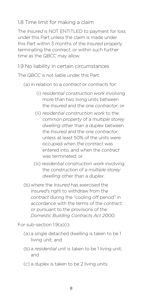### 1.8 Time limit for making a claim

The *Insured* is NOT ENTITLED to payment for loss under this Part unless the claim is made under this Part within 3 months of the *Insured* properly terminating the *contract*, or within such further time as the *QBCC* may allow.

1.9 No liability in certain circumstances

The *QBCC* is not liable under this Part:

(a) in relation to a *contract* or *contract*s for:

- (i) *residential construction work* involving more than two living units between the *Insured* and the one *contractor*; or
- (ii) *residential construction work* to the *common property* of a *multiple storey dwelling* other than a *duplex* between the *Insured* and the one *contractor*, unless at least 50% of the units were occupied when the *contract* was entered into, and when the *contract* was terminated; or
- (iii) *residential construction work* involving the construction of a *multiple storey dwelling* other than a *duplex*.

(b)where the *Insured* has exercised the *Insured*'s right to withdraw from the *contract* during the "cooling off period" in accordance with the terms of the *contract*, or pursuant to the provisions of the *Domestic Building Contracts Act 2000.*

For sub-section 1.9(a)(i):

- (a) a single detached dwelling is taken to be 1 living unit; and
- (b)a *residential unit* is taken to be 1 living unit; and
- (c) a *duplex* is taken to be 2 living units.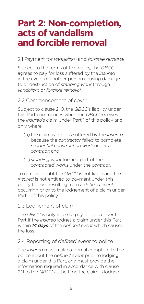# **Part 2: Non-completion, acts of vandalism and forcible removal**

#### 2.1 Payment for *vandalism* and *forcible removal*

Subject to the terms of this policy, the *QBCC* agrees to pay for loss suffered by the *Insured* in the event of another person causing damage to or destruction of *standing work* through *vandalism* or *forcible removal*.

#### 2.2 Commencement of cover

Subject to clause 2.10, the *QBCC*'s liability under this Part commences when the *QBCC* receives the *Insured*'s claim under Part 1 of this policy and only where:

- (a) the claim is for loss suffered by the *Insured* because the *contractor* failed to complete *residential construction work* under a *contract*; and
- (b) *standing work* formed part of the *contracted works* under the *contract*.

To remove doubt the *QBCC* is not liable and the *Insured* is not entitled to payment under this policy for loss resulting from a *defined event* occurring prior to the lodgement of a claim under Part 1 of this policy.

#### 2.3 Lodgement of claim

The *QBCC* is only liable to pay for loss under this Part if the *Insured* lodges a claim under this Part within *14 days* of the *defined event* which caused the loss.

#### 2.4 Reporting of *defined event* to police

The *Insured* must make a formal complaint to the police about the *defined event* prior to lodging a claim under this Part, and must provide the information required in accordance with clause 2.11 to the *QBCC* at the time the claim is lodged.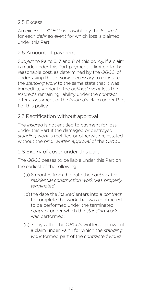#### 2.5 Excess

An excess of \$2,500 is payable by the *Insured* for each *defined event* for which loss is claimed under this Part.

### 2.6 Amount of payment

Subject to Parts 6, 7 and 8 of this policy, if a claim is made under this Part payment is limited to the reasonable cost, as determined by the *QBCC*, of undertaking those works necessary to reinstate the *standing work* to the same state that it was immediately prior to the *defined event* less the *Insured*'s remaining liability under the *contract* after assessment of the *Insured*'s claim under Part 1 of this policy.

### 2.7 Rectification without approval

The *Insured* is not entitled to payment for loss under this Part if the damaged or destroyed *standing work* is rectified or otherwise reinstated without the *prior written approval* of the *QBCC*.

#### 2.8 Expiry of cover under this part

The *QBCC* ceases to be liable under this Part on the earliest of the following:

- (a) 6 months from the date the *contract* for *residential construction work* was *properly terminated*;
- (b) the date the *Insured* enters into a *contract* to complete the work that was contracted to be performed under the terminated *contract* under which the *standing work* was performed;
- (c) 7 days after the *QBCC*'s written approval of a claim under Part 1 for which the *standing work* formed part of the *contracted works*.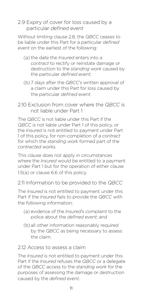#### 2.9 Expiry of cover for loss caused by a particular *defined event*

Without limiting clause 2.8, the *QBCC* ceases to be liable under this Part for a particular *defined event* on the earliest of the following:

- (a) the date the *Insured* enters into a *contract* to rectify or reinstate damage or destruction to the *standing work* caused by the particular *defined event*;
- (b)7 days after the *QBCC*'s written approval of a claim under this Part for loss caused by the particular *defined event*.
- 2.10 Exclusion from cover where the *QBCC* is not liable under Part 1

The *QBCC* is not liable under this Part if the *QBCC* is not liable under Part 1 of this policy, or the *Insured* is not entitled to payment under Part 1 of this policy, for non-completion of a *contract* for which the *standing work* formed part of the *contracted works*.

This clause does not apply in circumstances where the *Insured* would be entitled to a payment under Part 1 but for the operation of either clause 1.5(a) or clause 6.6 of this policy.

2.11 Information to be provided to the *QBCC*

The *Insured* is not entitled to payment under this Part if the *Insured* fails to provide the *QBCC* with the following information:

- (a) evidence of the *Insured*'s complaint to the police about the *defined event*; and
- (b)all other information reasonably required by the *QBCC* as being necessary to assess the claim.

#### 2.12 Access to assess a claim

The *Insured* is not entitled to payment under this Part if the *Insured* refuses the *QBCC* or a delegate of the *QBCC* access to the *standing work* for the purposes of assessing the damage or destruction caused by the *defined event*.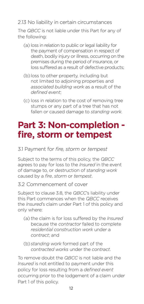2.13 No liability in certain circumstances

The *QBCC* is not liable under this Part for any of the following:

- (a) loss in relation to public or legal liability for the payment of compensation in respect of death, bodily injury or illness, occurring on the premises during the period of insurance, or loss suffered as a result of defective products;
- (b) loss to other property, including but not limited to adjoining properties and *associated building work* as a result of the *defined event*;
- (c) loss in relation to the cost of removing tree stumps or any part of a tree that has not fallen or caused damage to *standing work*.

# **Part 3: Non-completion fire, storm or tempest**

3.1 Payment for *fire, storm* or *tempest*

Subject to the terms of this policy, the *QBCC* agrees to pay for loss to the *Insured* in the event of damage to, or destruction of *standing work* caused by a *fire*, *storm* or *tempest*.

3.2 Commencement of cover

Subject to clause 3.8, the *QBCC*'s liability under this Part commences when the *QBCC* receives the *Insured*'s claim under Part 1 of this policy and only where:

- (a) the claim is for loss suffered by the *Insured* because the *contractor* failed to complete *residential construction work* under a *contract*; and
- (b) *standing work* formed part of the *contracted works* under the *contract*.

To remove doubt the *QBCC* is not liable and the *Insured* is not entitled to payment under this policy for loss resulting from a *defined event* occurring prior to the lodgement of a claim under Part 1 of this policy.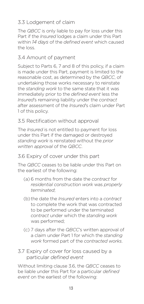### 3.3 Lodgement of claim

The *QBCC* is only liable to pay for loss under this Part if the *Insured* lodges a claim under this Part within *14 days* of the *defined event* which caused the loss.

### 3.4 Amount of payment

Subject to Parts 6, 7 and 8 of this policy, if a claim is made under this Part, payment is limited to the reasonable cost, as determined by the *QBCC*, of undertaking those works necessary to reinstate the *standing work* to the same state that it was immediately prior to the *defined event* less the *Insured*'s remaining liability under the *contract* after assessment of the *Insured*'s claim under Part 1 of this policy.

### 3.5 Rectification without approval

The *Insured* is not entitled to payment for loss under this Part if the damaged or destroyed *standing work* is reinstated without the *prior written approval* of the *QBCC*.

### 3.6 Expiry of cover under this part

The *QBCC* ceases to be liable under this Part on the earliest of the following:

- (a) 6 months from the date the *contract* for *residential construction work* was *properly terminated*;
- (b) the date the *Insured* enters into a *contract* to complete the work that was contracted to be performed under the terminated *contract* under which the *standing work* was performed;
- (c) 7 days after the *QBCC*'s written approval of a claim under Part 1 for which the *standing work* formed part of the *contracted works*.

### 3.7 Expiry of cover for loss caused by a particular *defined event*

Without limiting clause 3.6, the *QBCC* ceases to be liable under this Part for a particular *defined event* on the earliest of the following: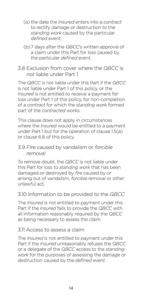- (a) the date the *Insured* enters into a *contract* to rectify damage or destruction to the *standing work* caused by the particular *defined event*;
- (b)7 days after the *QBCC*'s written approval of a claim under this Part for loss caused by the particular *defined event*.
- 3.8 Exclusion from cover where the *QBCC* is *not* liable under Part 1

The *QBCC* is not liable under this Part if the *QBCC* is not liable under Part 1 of this policy, or the *Insured* is not entitled to receive a payment for loss under Part 1 of this policy, for non-completion of a *contract* for which the *standing work* formed part of the *contracted works*.

This clause does not apply in circumstances where the *Insured* would be entitled to a payment under Part 1 but for the operation of clause 1.5(a) or clause 6.6 of this policy.

#### 3.9 *Fire* caused by *vandalism* or *forcible removal*

To remove doubt, the *QBCC* is not liable under this Part for loss to *standing work* that has been damaged or destroyed by *fire* caused by or arising out of *vandalism*, *forcible removal* or other unlawful act.

### 3.10 Information to be provided to the *QBCC*

The *Insured* is not entitled to payment under this Part if the *Insured* fails to provide the *QBCC* with all information reasonably required by the *QBCC* as being necessary to assess the claim.

#### 3.11 Access to assess a claim

The *Insured* is not entitled to payment under this Part if the *Insured* unreasonably refuses the *QBCC* or a delegate of the *QBCC* access to the *standing work* for the purposes of assessing the damage or destruction caused by the *defined event*.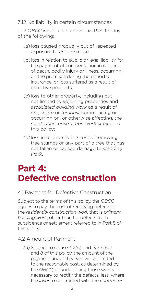3.12 No liability in certain circumstances

The *QBCC* is not liable under this Part for any of the following:

- (a) loss caused gradually out of repeated exposure to *fire* or smoke;
- (b)loss in relation to public or legal liability for the payment of compensation in respect of death, bodily injury or illness, occurring on the premises during the period of insurance, or loss suffered as a result of defective products;
- (c) loss to other property, including but not limited to adjoining properties and *associated building work* as a result of *fire*, *storm* or *tempest* commencing or occurring on, or otherwise affecting, the *residential construction work* subject to this policy;
- (d)loss in relation to the cost of removing tree stumps or any part of a tree that has not fallen or caused damage to *standing work*.

# **Part 4: Defective construction**

#### 4.1 Payment for Defective Construction

Subject to the terms of this policy, the *QBCC*  agrees to pay the cost of rectifying defects in the *residential construction work* that is *primary building work*, other than for defects from subsidence or settlement referred to in Part 5 of this policy.

#### 4.2 Amount of Payment

(a) Subject to clause 4.2(c) and Parts 6, 7 and 8 of this policy, the amount of the payment under this Part will be limited to the reasonable cost, as determined by the *QBCC,* of undertaking those works necessary to rectify the defects, less, where the *Insured* contracted with the *contractor*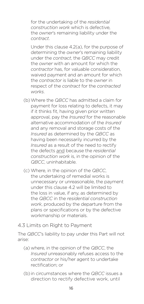for the undertaking of the *residential construction work* which is defective, the *owner*'s remaining liability under the *contract*.

Under this clause 4.2(a), for the purpose of determining the *owner*'s remaining liability under the *contract*, the *QBCC* may credit the *owner* with an amount for which the *contractor* has, for valuable consideration, waived payment and an amount for which the *contractor* is liable to the *owner* in respect of the *contract* for the *contracted works*.

- (b)Where the *QBCC* has admitted a claim for payment for loss relating to defects, it may if it thinks fit, having given prior written approval, pay the *Insured* for the reasonable alternative accommodation of the *Insured*  and any removal and storage costs of the *Insured* as determined by the *QBCC* as having been necessarily incurred by the *Insured* as a result of the need to rectify the defects and because the *residential construction work* is, in the opinion of the *QBCC*, uninhabitable.
- (c) Where, in the opinion of the *QBCC*, the undertaking of remedial works is unnecessary or unreasonable, the payment under this clause 4.2 will be limited to the loss in value, if any, as determined by the *QBCC* in the *residential construction work*, produced by the departure from the plans or specifications or by the defective workmanship or materials.

#### 4.3 Limits on Right to Payment

The *QBCC*'s liability to pay under this Part will not arise:

- (a) where, in the opinion of the *QBCC*, the *Insured* unreasonably refuses access to the *contractor* or his/her agent to undertake rectification; or
- (b) in circumstances where the *QBCC* issues a direction to rectify defective work, until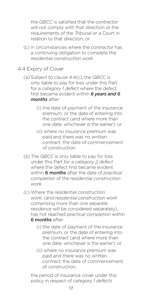the *QBCC* is satisfied that the *contractor* will not comply with that direction or the requirements of the *Tribunal* or a Court in relation to that direction; or

(c) in circumstances where the *contractor* has a continuing obligation to complete the *residential construction work*.

#### 4.4 Expiry of Cover

- (a) Subject to clause 4.4(c), the *QBCC* is only liable to pay for loss under this Part for a *category 1 defect* where the defect first became evident within *6 years and 6 months* after:
	- (i) the date of payment of the insurance premium, or the date of entering into the *contract* (and where more than one date, whichever is the earlier); or
	- (ii) where no insurance premium was paid and there was no written *contract*, the date of commencement of construction.
- (b)The *QBCC* is only liable to pay for loss under this Part for a *category 2 defect*  where the defect first became evident within 6 months after the date of *practical completion* of the *residential construction work.*
- (c) Where the *residential construction work,* (and *residential construction work*  comprising more than one separate residence will be considered separately), has not reached *practical completion* within **6 months after:** 
	- (i) the date of payment of the insurance premium, or the date of entering into the *contract* (and where more than one date, whichever is the earlier); or
	- (ii) where no insurance premium was paid and there was no written *contract*, the date of commencement of construction,

the period of insurance cover under this policy in respect of *category 1 defects*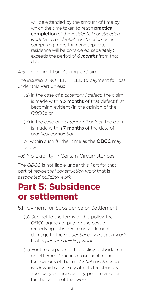will be extended by the amount of time by which the time taken to reach **practical** completion of the *residential construction work* (and *residential construction work* comprising more than one separate residence will be considered separately) exceeds the period of *6 months* from that date.

#### 4.5 Time Limit for Making a Claim

The *Insured* is NOT ENTITLED to payment for loss under this Part unless:

- (a) in the case of a *category 1 defect,* the claim is made within **3 months** of that defect first becoming evident (in the opinion of the *QBCC*); or
- (b) in the case of a *category 2 defect*, the claim is made within **7 months** of the date of *practical completion*,

or within such further time as the **QBCC** may allow.

4.6 No Liability in Certain Circumstances

The *QBCC* is not liable under this Part for that part of *residential construction work* that is *associated building work.*

# **Part 5: Subsidence or settlement**

5.1 Payment for Subsidence or Settlement

- (a) Subject to the terms of this policy, the *QBCC* agrees to pay for the cost of remedying subsidence or settlement damage to the *residential construction work* that is *primary building work*.
- (b) For the purposes of this policy, "subsidence or settlement" means movement in the foundations of the *residential construction work* which adversely affects the structural adequacy or serviceability, performance or functional use of that work.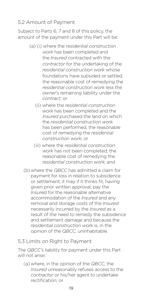#### 5.2 Amount of Payment

Subject to Parts 6, 7 and 8 of this policy, the amount of the payment under this Part will be:

- (a) (i) where the *residential construction work* has been completed and the *Insured* contracted with the *contractor* for the undertaking of the *residential construction work* whose foundations have subsided or settled, the reasonable cost of remedying the *residential construction work* less the *owner*'s remaining liability under the *contract*; or
	- (ii) where the *residential construction work* has been completed and the *Insured* purchased the *land* on which the *residential construction work* has been performed, the reasonable cost of remedying the *residential construction work*; or
	- (iii) where the *residential construction work* has not been completed, the reasonable cost of remedying the *residential construction work*; and
- (b)where the *QBCC* has admitted a claim for payment for loss in relation to subsidence or settlement, it may if it thinks fit, having given prior written approval, pay the *Insured* for the reasonable alternative accommodation of the *Insured* and any removal and storage costs of the *Insured* necessarily incurred by the *Insured* as a result of the need to remedy the subsidence and settlement damage and because the *residential construction work* is, in the opinion of the *QBCC*, uninhabitable.

#### 5.3 Limits on Right to Payment

The *QBCC'*s liability for payment under this Part will not arise:

(a) where, in the opinion of the *QBCC,* the *Insured* unreasonably refuses access to the *contractor* or his/her agent to undertake rectification; or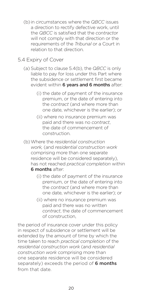- (b) in circumstances where the *QBCC* issues a direction to rectify defective work, until the *QBCC* is satisfied that the *contracto*r will not comply with that direction or the requirements of the *Tribunal* or a Court in relation to that direction.
- 5.4 Expiry of Cover
	- (a) Subject to clause 5.4(b), the *QBCC* is only liable to pay for loss under this Part where the subsidence or settlement first became evident within **6 years and 6 months** after:
		- (i) the date of payment of the insurance premium, or the date of entering into the *contract* (and where more than one date, whichever is the earlier); or
		- (ii) where no insurance premium was paid and there was no *contract*, the date of commencement of construction.
	- (b)Where the *residential construction work,* (and *residential construction work* comprising more than one separate residence will be considered separately), has not reached *practical completion* within 6 months after:
		- (i) the date of payment of the insurance premium, or the date of entering into the *contract* (and where more than one date, whichever is the earlier); or
		- (ii) where no insurance premium was paid and there was no written *contract*, the date of commencement of construction,

the period of insurance cover under this policy in respect of subsidence or settlement will be extended by the amount of time by which the time taken to reach *practical completion* of the *residential construction work* (and *residential construction work* comprising more than one separate residence will be considered separately) exceeds the period of 6 months from that date.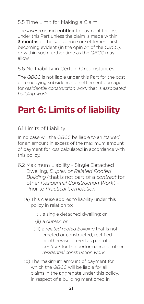## 5.5 Time Limit for Making a Claim

The *Insured* is not entitled to payment for loss under this Part unless the claim is made within **3 months** of the subsidence or settlement first becoming evident (in the opinion of the *QBCC*), or within such further time as the *QBCC* may allow.

#### 5.6 No Liability in Certain Circumstances

The *QBCC* is not liable under this Part for the cost of remedying subsidence or settlement damage for *residential construction work* that is *associated building work.*

# **Part 6: Limits of liability**

### 6.1 Limits of Liability

In no case will the *QBCC* be liable to an *Insured* for an amount in excess of the maximum amount of payment for loss calculated in accordance with this policy.

- 6.2 Maximum Liability Single Detached Dwelling, *Duplex or Related Roofed Building* (that is not part of a *contract* for other *Residential Construction Work*) - Prior to *Practical Completion*
	- (a) This clause applies to liability under this policy in relation to:
		- (i) a single detached dwelling; or
		- (ii) a *duplex*; or
		- (iii) a *related roofed building* that is not erected or constructed, rectified or otherwise altered as part of a *contract* for the performance of other *residential construction work*.
	- (b) The maximum amount of payment for which the *QBCC* will be liable for all claims in the aggregate under this policy, in respect of a building mentioned in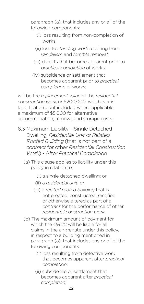paragraph (a), that includes any or all of the following components:

- (i) loss resulting from non-completion of works;
- (ii) loss to *standing work* resulting from *vandalism* and *forcible removal*;
- (iii) defects that become apparent prior to *practical completion* of works;
- (iv) subsidence or settlement that becomes apparent prior to *practical completion* of works;

will be the *replacement value* of the *residential construction work* or \$200,000, whichever is less. That amount includes, where applicable, a maximum of \$5,000 for alternative accommodation, removal and storage costs.

- 6.3 Maximum Liability Single Detached Dwelling, *Residential Unit* or *Related Roofed Building* (that is not part of a *contract* for other *Residential Construction Work*) - After *Practical Completion*
	- (a) This clause applies to liability under this policy in relation to:
		- (i) a single detached dwelling; or
		- (ii) a *residential unit*; or
		- (iii) a *related roofed building* that is not erected, constructed, rectified or otherwise altered as part of a *contract* for the performance of other *residential construction work*.
	- (b) The maximum amount of payment for which the *QBCC* will be liable for all claims in the aggregate under this policy, in respect to a building mentioned in paragraph (a), that includes any or all of the following components:
		- (i) loss resulting from defective work that becomes apparent after *practical completion*;
		- (ii) subsidence or settlement that becomes apparent after *practical completion*;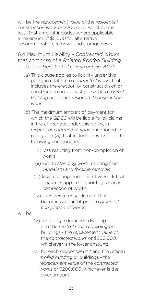will be the *replacement value* of the *residential construction work* or \$200,000, whichever is less. That amount includes, where applicable, a maximum of \$5,000 for alternative accommodation, removal and storage costs.

6.4 Maximum Liability – *Contracted Works* that comprise of a *Related Roofed Building* and other *Residential Construction Work*

- (a) This clause applies to liability under this policy in relation to *contracted works* that includes the erection or construction of, or construction on, at least one *related roofed building* and other *residential construction work*.
- (b) The maximum amount of payment for which the *QBCC* will be liable for all claims in the aggregate under this policy, in respect of *contracted works* mentioned in paragraph (a), that includes any or all of the following components:
	- (i) loss resulting from non-completion of works;
	- (ii) loss to *standing work* resulting from *vandalism* and *forcible removal*;
	- (iii) loss resulting from defective work that becomes apparent prior to *practical completion* of works;
	- (iv) subsidence or settlement that becomes apparent prior to *practical completion* of works;

will be:

- (v) for a single detached dwelling and the *related roofed building* or buildings - the *replacement value* of the *contracted works* or \$200,000, whichever is the lower amount:
- (vi) for each *residential unit* and the *related roofed building* or buildings - the *replacement value* of the *contracted works* or \$200,000, whichever is the lower amount.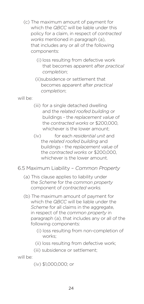- (c) The maximum amount of payment for which the *QBCC* will be liable under this policy for a claim, in respect of *contracted works* mentioned in paragraph (a), that includes any or all of the following components:
	- (i) loss resulting from defective work that becomes apparent after *practical completion*;
	- (ii)subsidence or settlement that becomes apparent after *practical completion*;

will be:

- (iii) for a single detached dwelling and the *related roofed building* or buildings - the *replacement value* of the *contracted works* or \$200,000, whichever is the lower amount:
- (iv) for each *residential unit* and the *related roofed building* and buildings - the *replacement value* of the *contracted works* or \$200,000, whichever is the lower amount.
- 6.5 Maximum Liability *Common Property*
	- (a) This clause applies to liability under the *Scheme* for the *common property* component of *contracted works.*
	- (b) The maximum amount of payment for which the *QBCC* will be liable under the *Scheme* for all claims in the aggregate, in respect of the *common property* in paragraph (a), that includes any or all of the following components:
		- (i) loss resulting from non-completion of works;
		- (ii) loss resulting from defective work;
		- (iii) subsidence or settlement;

will be:

(iv) \$1,000,000; or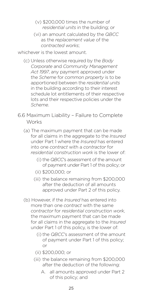- (v) \$200,000 times the number of *residential units* in the building; or
- (vi) an amount calculated by the *QBCC* as the *replacement value* of the *contracted works*;

whichever is the lowest amount.

- (c) Unless otherwise required by the *Body Corporate* and *Community Management Act 1997*, any payment approved under the *Scheme* for *common property* is to be apportioned between the *residential units* in the building according to their interest schedule lot entitlements of their respective lots and their respective policies under the *Scheme*.
- 6.6 Maximum Liability Failure to Complete **Works** 
	- (a) The maximum payment that can be made for all claims in the aggregate to the *Insured* under Part 1 where the *Insured* has entered into one *contract* with a *contractor* for *residential construction work* is the lower of:
		- (i) the *QBCC*'s assessment of the amount of payment under Part 1 of this policy; or
		- (ii) \$200,000; or
		- (iii) the balance remaining from \$200,000 after the deduction of all amounts approved under Part 2 of this policy.
	- (b) However, if the *Insured* has entered into more than one *contract* with the same *contractor* for *residential construction work*, the maximum payment that can be made for all claims in the aggregate to the *Insured* under Part 1 of this policy, is the lower of:
		- (i) the *QBCC*'s assessment of the amount of payment under Part 1 of this policy; or
		- (ii) \$200,000; or
		- (iii) the balance remaining from \$200,000 after the deduction of the following:
			- A. all amounts approved under Part 2 of this policy; and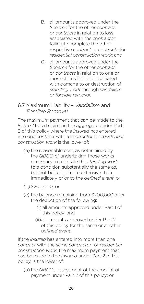- B. all amounts approved under the *Scheme* for the other *contract* or *contracts* in relation to loss associated with the *contractor* failing to complete the other respective *contract* or *contracts* for *residential construction work*; and
- C. all amounts approved under the *Scheme* for the other *contract* or *contracts* in relation to one or more claims for loss associated with damage to or destruction of *standing work* through *vandalism* or *forcible removal*.

#### 6.7 Maximum Liability – *Vandalism* and *Forcible Removal*

The maximum payment that can be made to the *Insured* for all claims in the aggregate under Part 2 of this policy where the *Insured* has entered into one *contract* with a *contractor* for *residential construction work* is the lower of:

- (a) the reasonable cost, as determined by the *QBCC*, of undertaking those works necessary to reinstate the *standing work* to a condition substantially the same as, but not better or more extensive than immediately prior to the *defined event*; or
- (b)\$200,000; or
- (c) the balance remaining from \$200,000 after the deduction of the following:
	- (i) all amounts approved under Part 1 of this policy; and
	- (ii)all amounts approved under Part 2 of this policy for the same or another *defined event*.

If the *Insured* has entered into more than one *contract* with the same *contractor* for *residential construction work*, the maximum payment that can be made to the *Insured* under Part 2 of this policy, is the lower of:

(a) the *QBCC*'s assessment of the amount of payment under Part 2 of this policy; or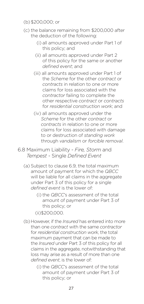#### (b)\$200,000; or

- (c) the balance remaining from \$200,000 after the deduction of the following:
	- (i) all amounts approved under Part 1 of this policy; and
	- (ii) all amounts approved under Part 2 of this policy for the same or another *defined event*; and
	- (iii) all amounts approved under Part 1 of the *Scheme* for the other *contract* or *contracts* in relation to one or more claims for loss associated with the *contractor* failing to complete the other respective *contract* or *contracts* for *residential construction work*; and
	- (iv) all amounts approved under the *Scheme* for the other *contract* or *contracts* in relation to one or more claims for loss associated with damage to or destruction of *standing work* through *vandalism* or *forcible removal*.
- 6.8 Maximum Liability *Fire, Storm* and *Tempest* - Single *Defined Event*
	- (a) Subject to clause 6.9, the total maximum amount of payment for which the *QBCC* will be liable for all claims in the aggregate under Part 3 of this policy for a single *defined event* is the lower of:
		- (i) the *QBCC*'s assessment of the total amount of payment under Part 3 of this policy; or
		- (ii)\$200,000.
	- (b)However, if the *Insured* has entered into more than one *contract* with the same *contractor* for *residential construction work*, the total maximum payment that can be made to the *Insured* under Part 3 of this policy for all claims in the aggregate, notwithstanding that loss may arise as a result of more than one *defined event*, is the lower of:
		- (i) the *QBCC*'s assessment of the total amount of payment under Part 3 of this policy; or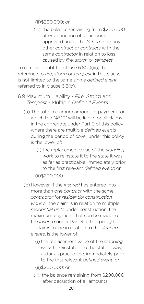(ii)\$200,000; or

(iii) the balance remaining from \$200,000 after deduction of all amounts approved under the *Scheme* for any other *contract* or *contracts* with the same *contractor* in relation to loss caused by *fire*, *storm* or *tempest*.

To remove doubt for clause 6.8(b)(iii), the reference to *fire*, *storm* or *tempest* in this clause is not limited to the same single *defined event* referred to in clause 6.8(b).

- 6.9 Maximum Liability *Fire, Storm* and *Tempest* - Multiple *Defined Events*
	- (a) The total maximum amount of payment for which the *QBCC* will be liable for all claims in the aggregate under Part 3 of this policy where there are multiple *defined events* during the period of cover under this policy is the lower of:
		- (i) the replacement value of the *standing work* to reinstate it to the state it was, as far as practicable, immediately prior to the first relevant *defined event*; or

(ii)\$200,000.

- (b)However, if the *Insured* has entered into more than one *contract* with the same *contractor* for *residential construction work* or the claim is in relation to multiple *residential units* under construction, the maximum payment that can be made to the *Insured* under Part 3 of this policy for all claims made in relation to the *defined events*, is the lower of:
	- (i) the replacement value of the *standing work* to reinstate it to the state it was, as far as practicable, immediately prior to the first relevant *defined event*; or
	- (ii)\$200,000; or
	- (iii) the balance remaining from \$200,000 after deduction of all amounts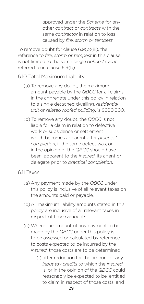approved under the *Scheme* for any other *contract* or *contracts* with the same *contractor* in relation to loss caused by *fire*, *storm* or *tempest*.

To remove doubt for clause 6.9(b)(iii), the reference to *fire*, *storm* or *tempest* in this clause is not limited to the same single *defined event* referred to in clause 6.9(b).

- 6.10 Total Maximum Liability
	- (a) To remove any doubt, the maximum amount payable by the *QBCC* for all claims in the aggregate under this policy in relation to a single detached dwelling, *residential unit* or *related roofed building*, is \$600,000.
	- (b) To remove any doubt, the *QBCC* is not liable for a claim in relation to defective work or subsidence or settlement which becomes apparent after *practical completion*, if the same defect was, or in the opinion of the *QBCC* should have been, apparent to the *Insured*, its agent or delegate prior to *practical completion*.

#### 6.11 Taxes

- (a) Any payment made by the *QBCC* under this policy is inclusive of all relevant taxes on the amounts paid or payable.
- (b)All maximum liability amounts stated in this policy are inclusive of all relevant taxes in respect of those amounts.
- (c) Where the amount of any payment to be made by the *QBCC* under this policy is to be assessed or calculated by reference to costs expected to be incurred by the *Insured*, those costs are to be determined:
	- (i) after reduction for the amount of any *input tax credits* to which the *Insured* is, or in the opinion of the *QBCC* could reasonably be expected to be, entitled to claim in respect of those costs; and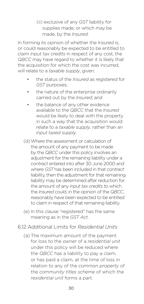(ii) exclusive of any *GST* liability for supplies made, or which may be made, by the *Insured*.

In forming its opinion of whether the *Insured* is, or could reasonably be expected to be entitled to claim *input tax credits* in respect of any cost, the *QBCC* may have regard to whether it is likely that the acquisition for which the cost was incurred, will relate to a *taxable supply*, given:

- the status of the *Insured* as registered for *GST* purposes;
- the nature of the enterprise ordinarily carried out by the *Insured*; and
- the balance of any other evidence available to the *QBCC* that the *Insured* would be likely to deal with the property in such a way that the acquisition would relate to a *taxable supply*, rather than an *input taxed supply*.
- (d)Where the assessment or calculation of the amount of any payment to be made by the *QBCC* under this policy involves an adjustment for the remaining liability under a *contract* entered into after 30 June 2000 and where *GST* has been included in that *contract* liability, then the adjustment for that remaining liability may be determined after reduction for the amount of any *input tax credits* to which the *Insured* could, in the opinion of the *QBCC*, reasonably have been expected to be entitled to claim in respect of that remaining liability.
- (e) In this clause "registered" has the same meaning as in the *GST Act*.
- 6.12 Additional Limits for *Residential Units* 
	- (a) The maximum amount of the payment for loss to the *owner* of a *residential unit* under this policy will be reduced where the *QBCC* has a liability to pay a claim, or has paid a claim, at the time of loss in relation to any of the *common property* of the *community titles scheme* of which the *residential unit* forms a part.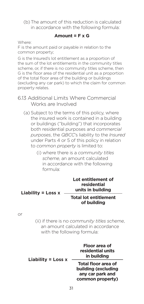(b)The amount of this reduction is calculated in accordance with the following formula:

#### **Amount = F x G**

Where:

F is the amount paid or payable in relation to the common property;

G is the Insured's lot entitlement as a proportion of the sum of the lot entitlements in the community titles scheme, or, if there is no community titles scheme, then G is the floor area of the residential unit as a proportion of the total floor area of the building or buildings (excluding any car park) to which the claim for common property relates.

- 6.13 Additional Limits Where Commercial Works are Involved
	- (a) Subject to the terms of this policy, where the insured work is contained in a building or buildings ("building") that incorporates both residential purposes and *commercial purposes*, the *QBCC*'s liability to the *Insured* under Parts 4 or 5 of this policy in relation to *common property* is limited to:
		- (i) where there is a *community titles scheme*, an amount calculated in accordance with the following formula:

| Liability = Loss $x$ | Lot entitlement of<br>residential<br>units in building |
|----------------------|--------------------------------------------------------|
|                      | <b>Total lot entitlement</b><br>of building            |

#### or

(ii) if there is no *community titles scheme*, an amount calculated in accordance with the following formula:

| Liability = Loss $x$ | Floor area of<br>residential units<br>in building                                  |  |
|----------------------|------------------------------------------------------------------------------------|--|
|                      | Total floor area of<br>building (excluding<br>any car park and<br>common property) |  |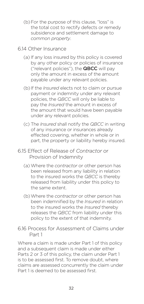- (b) For the purpose of this clause, "loss" is the total cost to rectify defects or remedy subsidence and settlement damage to *common property*.
- 6.14 Other Insurance
	- (a) If any loss insured by this policy is covered by any other policy or policies of insurance ("relevant policies"), the QBCC will pay only the amount in excess of the amount payable under any relevant policies.
	- (b) If the *Insured* elects not to claim or pursue payment or indemnity under any relevant policies, the *QBCC* will only be liable to pay the *Insured* the amount in excess of the amount that would have been payable under any relevant policies.
	- (c) The *Insured* shall notify the *QBCC* in writing of any insurance or insurances already effected covering, whether in whole or in part, the property or liability hereby insured.
- 6.15 Effect of Release of *Contractor* or Provision of Indemnity
	- (a) Where the *contractor* or other person has been released from any liability in relation to the insured works the *QBCC* is thereby released from liability under this policy to the same extent.
	- (b)Where the *contractor* or other person has been indemnified by the *Insured* in relation to the insured works the *Insured* thereby releases the *QBCC* from liability under this policy to the extent of that indemnity.
- 6.16 Process for Assessment of Claims under Part 1

Where a claim is made under Part 1 of this policy and a subsequent claim is made under either Parts 2 or 3 of this policy, the claim under Part 1 is to be assessed first. To remove doubt, where claims are assessed concurrently the claim under Part 1 is deemed to be assessed first.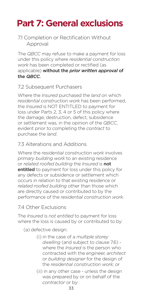# **Part 7: General exclusions**

#### 7.1 Completion or Rectification Without Approval

The *QBCC* may refuse to make a payment for loss under this policy where *residential construction work* has been completed or rectified (as applicable) without the *prior written approval* of the *QBCC.*

#### 7.2 Subsequent Purchasers

Where the *Insured* purchased the *land* on which *residential construction work* has been performed, the *Insured* is NOT ENTITLED to payment for loss under Parts 2, 3, 4 or 5 of this policy where the damage, destruction, defect, subsidence or settlement was, in the opinion of the *QBCC*, evident prior to completing the *contract* to purchase the *land*.

#### 7.3 Alterations and Additions

Where the *residential construction work* involves *primary building work* to an existing residence or *related roofed building* the *Insured* is not entitled to payment for loss under this policy for any defects or subsidence or settlement which occurs in relation to that existing residence or *related roofed building* other than those which are directly caused or contributed to by the performance of the *residential construction work*.

#### 7.4 Other Exclusions

The *Insured* is *not entitled* to payment for loss where the loss is caused by or contributed to by:

(a) defective design:

- (i) in the case of a *multiple storey dwelling* (and subject to clause 7.6) where the *Insured* is the person who contracted with the *engineer, architect* or *building designer* for the design of the *residential construction work*; or
- (ii) in any other case unless the design was prepared by or on behalf of the *contractor* or by: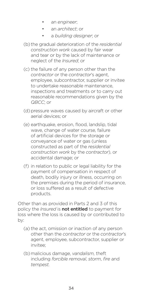- an *engineer*;
- an *architect*; or
- a *building designer*; or
- (b) the gradual deterioration of the *residential construction work* caused by fair wear and tear or by the lack of maintenance or neglect of the *Insured*; or
- (c) the failure of any person other than the *contractor* or the *contractor*'s agent, employee, subcontractor, supplier or invitee to undertake reasonable maintenance, inspections and treatments or to carry out reasonable recommendations given by the *QBCC*; or
- (d) pressure waves caused by aircraft or other aerial devices; or
- (e) earthquake, erosion, flood, landslip, tidal wave, change of water course, failure of artificial devices for the storage or conveyance of water or gas (unless constructed as part of the *residential construction work* by the *contractor*), or accidental damage; or
- (f) in relation to public or legal liability for the payment of compensation in respect of death, bodily injury or illness, occurring on the premises during the period of insurance, or loss suffered as a result of defective products.

Other than as provided in Parts 2 and 3 of this policy the *Insured* is not entitled to payment for loss where the loss is caused by or contributed to by:

- (a) the act, omission or inaction of any person other than the *contractor* or the *contractor*'s agent, employee, subcontractor, supplier or invitee;
- (b)malicious damage, *vandalism*, theft including *forcible removal*, *storm*, *fire* and *tempest.*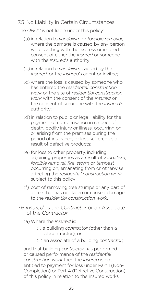#### 7.5 No Liability in Certain Circumstances

The *QBCC* is not liable under this policy:

- (a) in relation to *vandalism* or *forcible removal*, where the damage is caused by any person who is acting with the express or implied consent of either the *Insured* or someone with the *Insured*'s authority;
- (b) in relation to *vandalism* caused by the *Insured*, or the *Insured*'s agent or invitee;
- (c) where the loss is caused by someone who has entered the *residential construction work* or the site of *residential construction work* with the consent of the *Insured* or the consent of someone with the *Insured*'s authority;
- (d) in relation to public or legal liability for the payment of compensation in respect of death, bodily injury or illness, occurring on or arising from the premises during the period of insurance, or loss suffered as a result of defective products;
- (e) for loss to other property, including adjoining properties as a result of *vandalism*, *forcible removal*, *fire*, *storm* or *tempest* occurring on, emanating from or otherwise affecting the *residential construction work* subject to this policy;
- (f) cost of removing tree stumps or any part of a tree that has not fallen or caused damage to the *residential construction work*.
- 7.6 *Insured* as the *Contractor* or an Associate of the *Contractor*
	- (a) Where the *Insured* is:
		- (i) a building *contractor* (other than a subcontractor); or
		- (ii) an associate of a building *contractor*;

and that building *contractor* has performed or caused performance of the *residential construction work* then the *Insured* is not entitled to payment for loss under Part 1 (Non-Completion) or Part 4 (Defective Construction) of this policy in relation to the insured works.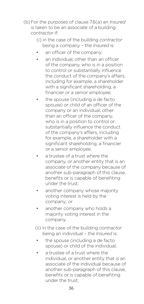(b)For the purposes of clause 7.6(a) an *Insured* is taken to be an associate of a building *contractor* if:

- (i) in the case of the building *contractor*  being a company – the *Insured* is:
- an officer of the company:
- an individual, other than an officer of the company, who is in a position to control or substantially influence the conduct of the company's affairs, including for example, a shareholder with a significant shareholding, a financier or a senior employee;
- the spouse (including a de facto spouse) or child of an officer of the company or an individual, other than an officer of the company, who is in a position to control or substantially influence the conduct of the company's affairs, including for example, a shareholder with a significant shareholding, a financier or a senior employee;
- a trustee of a trust where the company, or another entity that is an associate of the company because of another sub-paragraph of this clause, benefits or is capable of benefiting under the trust;
- another company whose majority voting interest is held by the company; or
- another company who holds a majority voting interest in the company.
- (ii) in the case of the building *contractor*  being an individual – the *Insured* is:
- the spouse (including a de facto spouse) or child of the individual;
- a trustee of a trust where the individual, or another entity that is an associate of the individual because of another sub-paragraph of this clause, benefits or is capable of benefiting under the trust;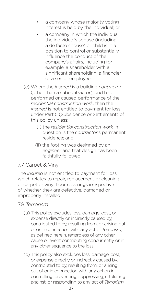- a company whose majority voting interest is held by the individual; or
- a company in which the individual. the individual's spouse (including a de facto spouse) or child is in a position to control or substantially influence the conduct of the company's affairs, including for example, a shareholder with a significant shareholding, a financier or a senior employee.
- (c) Where the *Insured* is a building *contractor* (other than a subcontractor), and has performed or caused performance of the *residential construction work*, then the *Insured* is not entitled to payment for loss under Part 5 (Subsidence or Settlement) of this policy unless:
	- (i) the *residential construction work* in question is the *contractor*'s permanent residence; and
	- (ii) the footing was designed by an *engineer* and that design has been faithfully followed.

### 7.7 Carpet & Vinyl

The *Insured* is not entitled to payment for loss which relates to repair, replacement or cleaning of carpet or vinyl floor coverings irrespective of whether they are defective, damaged or improperly installed.

#### 7.8 *Terrorism*

- (a) This policy excludes loss, damage, cost, or expense directly or indirectly caused by, contributed to by, resulting from, or arising out of or in connection with any act of *Terrorism*, as defined herein, regardless of any other cause or event contributing concurrently or in any other sequence to the loss.
- (b) This policy also excludes loss, damage, cost, or expense directly or indirectly caused by, contributed to by, resulting from, or arising out of or in connection with any action in controlling, preventing, suppressing, retaliating against, or responding to any act of *Terrorism*.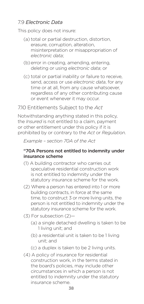#### 7.9 *Electronic Data*

This policy does not insure:

- (a) total or partial destruction, distortion, erasure, corruption, alteration, misinterpretation or misappropriation of *electronic data*;
- (b)error in creating, amending, entering, deleting or using *electronic data*; or
- (c) total or partial inability or failure to receive, send, access or use *electronic data*, for any time or at all, from any cause whatsoever, regardless of any other contributing cause or event whenever it may occur.

7.10 Entitlements Subject to the *Act* 

Notwithstanding anything stated in this policy, the *Insured* is not entitled to a claim, payment or other entitlement under this policy if it is prohibited by or contrary to the *Act* or *Regulation*.

*Example – section 70A of the Act* 

#### "70A Persons not entitled to indemnity under insurance scheme

- (1) A building contractor who carries out speculative residential construction work is not entitled to indemnity under the statutory insurance scheme for the work.
- (2) Where a person has entered into 1 or more building contracts, in force at the same time, to construct 3 or more living units, the person is not entitled to indemnity under the statutory insurance scheme for the work.
- (3) For subsection (2)—
	- (a) a single detached dwelling is taken to be 1 living unit; and
	- (b) a residential unit is taken to be 1 living unit; and

(c) a duplex is taken to be 2 living units.

(4) A policy of insurance for residential construction work, in the terms stated in the board's policies, may include other circumstances in which a person is not entitled to indemnity under the statutory insurance scheme.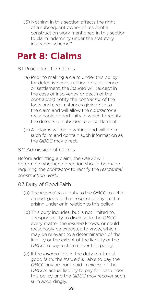(5) Nothing in this section affects the right of a subsequent owner of residential construction work mentioned in this section to claim indemnity under the statutory insurance scheme."

# **Part 8: Claims**

#### 8.1 Procedure for Claims

- (a) Prior to making a claim under this policy for defective construction or subsidence or settlement, the *Insured* will (except in the case of insolvency or death of the *contractor*) notify the *contractor* of the facts and circumstances giving rise to the claim and will allow the *contractor* a reasonable opportunity in which to rectify the defects or subsidence or settlement.
- (b)All claims will be in writing and will be in such form and contain such information as the *QBCC* may direct.

#### 8.2 Admission of Claims

Before admitting a claim, the *QBCC* will determine whether a direction should be made requiring the *contractor* to rectify the *residential construction work*.

#### 8.3 Duty of Good Faith

- (a) The *Insured* has a duty to the *QBCC* to act in utmost good faith in respect of any matter arising under or in relation to this policy.
- (b)This duty includes, but is not limited to, a responsibility to disclose to the *QBCC* every matter the *Insured* knows, or could reasonably be expected to know, which may be relevant to a determination of the liability or the extent of the liability of the *QBCC* to pay a claim under this policy.
- (c) If the *Insured* fails in the duty of utmost good faith, the *Insured* is liable to pay the *QBCC* any amount paid in excess of the *QBCC*'s actual liability to pay for loss under this policy, and the *QBCC* may recover such sum accordingly.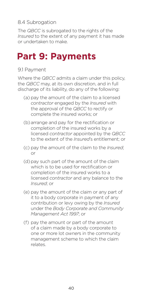#### 8.4 Subrogation

The *QBCC* is subrogated to the rights of the *Insured* to the extent of any payment it has made or undertaken to make.

# **Part 9: Payments**

#### 9.1 Payment

Where the *QBCC* admits a claim under this policy, the *QBCC* may, at its own discretion, and in full discharge of its liability, do any of the following:

- (a) pay the amount of the claim to a licensed *contractor* engaged by the *Insured* with the approval of the *QBCC* to rectify or complete the insured works; or
- (b)arrange and pay for the rectification or completion of the insured works by a licensed *contractor* appointed by the *QBCC* to the extent of the *Insured*'s entitlement; or
- (c) pay the amount of the claim to the *Insured*; or
- (d) pay such part of the amount of the claim which is to be used for rectification or completion of the insured works to a licensed *contractor* and any balance to the *Insured*; or
- (e) pay the amount of the claim or any part of it to a body corporate in payment of any contribution or levy owing by the *Insured* under the *Body Corporate and Community Management Act 1997*; or
- (f) pay the amount or part of the amount of a claim made by a body corporate to one or more lot *owner*s in the community management scheme to which the claim relates.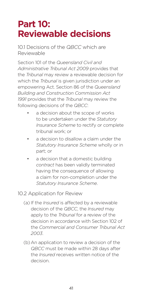# **Part 10: Reviewable decisions**

10.1 Decisions of the *QBCC* which are Reviewable

Section 101 of the *Queensland Civil and Administrative Tribunal Act 2009* provides that the *Tribunal* may review a reviewable decision for which the *Tribunal* is given jurisdiction under an empowering Act. Section 86 of the *Queensland Building and Construction Commission Act 1991* provides that the *Tribunal* may review the following decisions of the *QBCC*:

- a decision about the scope of works to be undertaken under the *Statutory Insurance Scheme* to rectify or complete tribunal work; or
- a decision to disallow a claim under the *Statutory Insurance Scheme* wholly or in part; or
- a decision that a domestic building *contract* has been validly terminated having the consequence of allowing a claim for non-completion under the *Statutory Insurance Scheme*.
- 10.2 Application for Review
	- (a) If the *Insured* is affected by a reviewable decision of the *QBCC*, the *Insured* may apply to the *Tribunal* for a review of the decision in accordance with Section 102 of the *Commercial and Consumer Tribunal Act 2003*.
	- (b)An application to review a decision of the *QBCC* must be made within 28 days after the *Insured* receives written notice of the decision.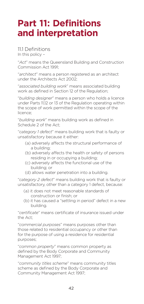# **Part 11: Definitions and interpretation**

11.1 Definitions In this policy –

"*Act*" means the Queensland Building and Construction Commission Act 1991;

"*architect*" means a person registered as an architect under the Architects Act 2002;

"*associated building work*" means associated building work as defined in Section 12 of the Regulation;

"*building designer*" means a person who holds a licence under Parts 11,12 or 13 of the Regulation operating within the scope of work permitted within the scope of the licence;

"*building work*" means building work as defined in Schedule 2 of the Act;

"*category 1 defect*" means building work that is faulty or unsatisfactory because it either:

- (a) adversely affects the structural performance of a building;
- (b) adversely affects the health or safety of persons residing in or occupying a building;
- (c) adversely affects the functional use of the building; or
- (d) allows water penetration into a building.

"*category 2 defect*" means building work that is faulty or unsatisfactory, other than a category 1 defect, because:

- (a) it does not meet reasonable standards of construction or finish; or
- (b) it has caused a "settling in period" defect in a new building.

"*certificate*" means certificate of insurance issued under the Act;

"*commercial purposes*" means purposes other than those related to residential occupancy or other than for the purpose of using a residence for residential purposes;

"*common property*" means common property as defined by the Body Corporate and Community Management Act 1997;

"*community titles scheme*" means community titles scheme as defined by the Body Corporate and Community Management Act 1997;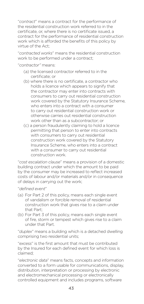"*contract*" means a contract for the performance of the residential construction work referred to in the certificate, or, where there is no certificate issued, a contract for the performance of residential construction work which is afforded the benefits of this policy by virtue of the Act;

"*contracted works*" means the residential construction work to be performed under a contract;

"*contractor"* means:

- (a) the licensed contractor referred to in the certificate; or
- (b) where there is no certificate, a contractor who holds a licence which appears to signify that the contractor may enter into contracts with consumers to carry out residential construction work covered by the Statutory Insurance Scheme, who enters into a contract with a consumer to carry out residential construction work or otherwise carries out residential construction work other than as a subcontractor; or
- (c) a person fraudulently claiming to hold a licence permitting that person to enter into contracts with consumers to carry out residential construction work covered by the Statutory Insurance Scheme, who enters into a contract with a consumer to carry out residential construction work.

"*cost escalation clause*" means a provision of a domestic building contract under which the amount to be paid by the consumer may be increased to reflect increased costs of labour and/or materials and/or in consequence of delays in carrying out the work;

"*defined event*"

- (a) For Part 2 of this policy, means each single event of vandalism or forcible removal of residential construction work that gives rise to a claim under that Part;
- (b) For Part 3 of this policy, means each single event of fire, storm or tempest which gives rise to a claim under that Part.

"*duplex*" means a building which is a detached dwelling comprising two residential units;

"*excess*" is the first amount that must be contributed by the Insured for each defined event for which loss is claimed;

"*electronic data*" means facts, concepts and information converted to a form usable for communications, display, distribution, interpretation or processing by electronic and electromechanical processing or electronically controlled equipment and includes programs, software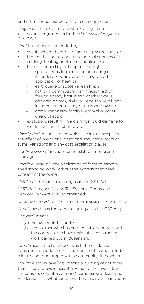and other coded instructions for such equipment;

"*engineer*" means a person who is a registered professional engineer under the *Professional Engineers Act 2002;*

"*fire*" fire or explosion excluding:

- events where there is no flame (e.g. scorching); or
- fire that has not escaped the normal confines of a cooking, heating or electrical appliance; or
- fire occasioned by or happens through:
	- spontaneous fermentation or heating or its undergoing any process involving the application of heat; or
	- earthquake or subterranean fire; or
	- riot, civil commotion, war, invasion, act of foreign enemy, hostilities (whether war is declared or not), civil war, rebellion, revolution, insurrection or military or usurped power; or
	- arson, vandalism, forcible removal or other unlawful act; or
- explosions resulting in a claim for liquid damage to residential construction work.

"*fixed price*" means a price which is certain, except for the effect of provisional costs or sums, prime costs or sums, variations and any cost escalation clause;

"*footing system*" includes under slab plumbing and drainage;

"*forcible removal*" the application of force to remove fixed standing work without the express or implied consent of the owner;

"*GST*" has the same meaning as in the GST Act;

"*GST Act*" means A New Tax System (Goods and Services Tax) Act 1999 as amended;

"*input tax credit*" has the same meaning as in the GST Act;

"*input taxed*" has the same meaning as in the GST Act;

"*Insured*" means:

- (a) the owner of the land; or
- (b) a consumer who has entered into a contract with the contractor to have residential construction work carried out in Queensland;

"*land*" means the land upon which the residential construction work is or is to be constructed and includes a lot or common property in a community titles scheme;

"*multiple storey dwelling*" means a building of not more than three storeys in height (excluding the lowest level if it consists only of a car park) comprising at least one residential unit, whether or not the building also includes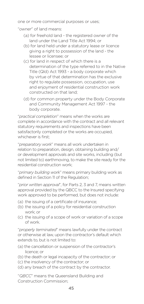one or more commercial purposes or uses;

"*owner*" of land means:

- (a) for freehold land the registered owner of the land under the Land Title Act 1994; or
- (b) for land held under a statutory lease or licence giving a right to possession of the land - the lessee or licensee; or
- (c) for land in respect of which there is a determination of the type referred to in the Native Title (Qld) Act 1993 - a body corporate which by virtue of that determination has the exclusive right to regulate possession, occupation, use and enjoyment of residential construction work constructed on that land;
- (d) for common property under the Body Corporate and Community Management Act 1997 - the body corporate.

"*practical completion*" means when the works are complete in accordance with the contract and all relevant statutory requirements and inspections have been satisfactorily completed or the works are occupied, whichever is first;

"*preparatory work*" means all work undertaken in relation to preparation, design, obtaining building and/ or development approvals and site works, including (but not limited to) earthmoving, to make the site ready for the residential construction work;

"*primary building work*" means primary building work as defined in Section 11 of the Regulation;

"*prior written approval*", for Parts 2, 3 and 7, means written approval provided by the QBCC to the Insured specifying work approved to be performed, but does not include:

- (a) the issuing of a certificate of insurance;
- (b) the issuing of a policy for residential construction work; or
- (c) the issuing of a scope of work or variation of a scope of work.

"*properly terminated*" means lawfully under the contract or otherwise at law, upon the contractor's default which extends to, but is not limited to:

(a) the cancellation or suspension of the contractor's licence; or

(b) the death or legal incapacity of the contractor; or

- (c) the insolvency of the contractor; or
- (d) any breach of the contract by the contractor.

"*QBCC*" means the Queensland Building and Construction Commission;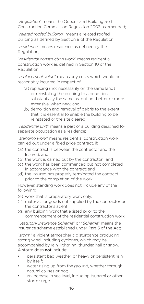"*Regulation*" means the Queensland Building and Construction Commission Regulation 2003 as amended;

"*related roofed building*" means a related roofed building as defined by Section 9 of the Regulation;

"*residence*" means residence as defined by the Regulation;

"*residential construction work*" means residential construction work as defined in Section 10 of the Regulation;

"*replacement value*" means any costs which would be reasonably incurred in respect of:

- (a) replacing (not necessarily on the same land) or reinstating the building to a condition substantially the same as, but not better or more extensive, when new; and
- (b) demolition and removal of debris to the extent that it is essential to enable the building to be reinstated or the site cleared;

"*residential unit*" means a part of a building designed for separate occupation as a residence;

"*standing work*" means residential construction work carried out under a fixed price contract, if:

- (a) the contract is between the contractor and the Insured; and
- (b) the work is carried out by the contractor; and
- (c) the work has been commenced but not completed in accordance with the contract; and
- (d) the Insured has properly terminated the contract prior to the completion of the work;

However, standing work does not include any of the following:

- (e) work that is preparatory work only;
- (f) materials or goods not supplied by the contractor or the contractor's agent;
- (g) any building work that existed prior to the commencement of the residential construction work.

"*Statutory Insurance Scheme*" or "*Scheme*" means the insurance scheme established under Part 5 of the Act;

"*storm*" a violent atmospheric disturbance producing strong wind, including cyclones, which may be accompanied by rain, lightning, thunder, hail or snow. A storm does not include:

- persistent bad weather, or heavy or persistent rain by itself;
- water rising up from the ground, whether through natural causes or not;
- an increase in sea level, including tsunami or other storm surge.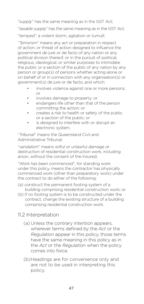"*supply*" has the same meaning as in the GST Act;

"*taxable supply*" has the same meaning as in the GST Act;

"*tempest*" a violent storm, agitation or tumult;

"*Terrorism*" means any act or preparation in respect of action, or threat of action designed to influence the government de jure or de facto of any nation or any political division thereof, or in the pursuit of political, religious, ideological, or similar purposes to intimidate the public or a section of the public of any nation by any person or group(s) of persons whether acting alone or on behalf of or in connection with any organisation(s) or government(s) de jure or de facto, and which:

- involves violence against one or more persons; or
- involves damage to property; or
- endangers life other than that of the person committing the action; or
- creates a risk to health or safety of the public or a section of the public; or
- is designed to interfere with or disrupt an electronic system.

"*Tribunal*" means the Queensland Civil and Administrative Tribunal;

"*vandalism*" means wilful or unlawful damage or destruction of residential construction work, including arson, without the consent of the Insured;

"*Work has been commenced*", for standing work under this policy, means the contractor has physically commenced work (other than preparatory work) under the contract to do either of the following:

- (a) construct the permanent footing system of a building comprising residential construction work; or
- (b) if no footing system is to be constructed under the contract, change the existing structure of a building comprising residential construction work.

#### 11.2 Interpretation

- (a) Unless the contrary intention appears, wherever terms defined by the *Act* or the *Regulation* appear in this policy, those terms have the same meaning in this policy as in the *Act* or the *Regulation* when the policy comes into force.
- (b)Headings are for convenience only and are not to be used in interpreting this policy.